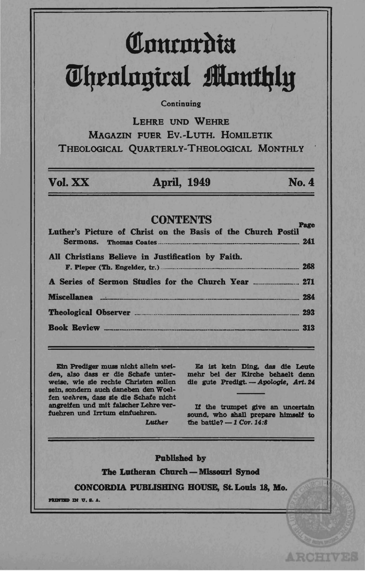# *<u>Innrnrdia</u>* m~tnln!1ital **jlnutlJly**

### **Continuing**

LEHRE UNO WEHRE MAGAZIN FUER Ev.-LuTH. HOMILETIK THEOLOGICAL QUARTERLY-THEOLOGICAL MONTHLY

### Vol. xx: April, 1949 No.4

ARCHIVES

### **CONTENTS**

| Luther's Picture of Christ on the Basis of the Church Postil<br>All Christians Believe in Justification by Faith.<br>F. Pieper (Th. Engelder, tr.) 268 |  |
|--------------------------------------------------------------------------------------------------------------------------------------------------------|--|
|                                                                                                                                                        |  |
| Miscellanea 284                                                                                                                                        |  |
|                                                                                                                                                        |  |
| <b>Book Review 4313</b>                                                                                                                                |  |

Ein Prediger muss nicht allein weiden, also dass er die Schafe unterweise, wie sie rechte Christen sollen sein, sondern auch daneben den Woelfen wehren, dass sie die Schafe nicht angreifen und mit falscher Lehre verfuehren und Irrtum elnfuehren.

Es ist kein Ding, das die Leute mehr bei der Kirche behaelt denn die gute Predigt. - Apologie, Art. 24

If the trumpet give an uncertain sound, who shall prepare himself to the battle? $-1$  Cor. 14:8

Published by

Luther

The Lutheran Church - Missouri Synod

CONCORDIA PUBLISHING BOUSE, St. Louis 18, Mo.

**PRINTED IN U.S.A.**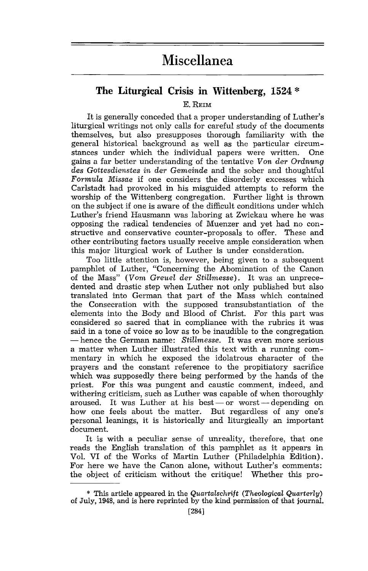## **Miscellanea**

### The Liturgical Crisis **in Wittenberg, 1524** \*

E. REIM

It is generally conceded that a proper understanding of Luther's liturgical writings not only calls for careful study of the documents themselves, but also presupposes thorough familiarity with the general historical background as well as the particular circum-<br>stances under which the individual papers were written. One stances under which the individual papers were written. gains a far better understanding of the tentative *Von der Ordnung des Gottesdienstes in der Gemeinde* and the sober and thoughtful *Formula Missae* if one considers the disorderly excesses which Carlstadt had provoked in his misguided attempts to reform the worship of the Wittenberg congregation. Further light is thrown on the subject if one is aware of the difficult conditions under which Luther's friend Hausmann was laboring at Zwickau where he was opposing the radical tendencies of Muenzer and yet had no constructive and conservative counter-proposals to offer. These and other contributing factors usually receive ample consideration when this major liturgical work of Luther is under consideration.

Too little attention is, however, being given to a subsequent pamphlet of Luther, "Concerning the Abomination of the Canon of the Mass" *(Vom Greuel der Stillmesse)*. It was an unprecedented and drastic step when Luther not only published but also translated into German that part of the Mass which contained the Consecration with the supposed transubstantiation of the elements into the Body and Blood of Christ. For this part was considered so sacred that in compliance with the rubrics it was said in a tone of voice so low as to be inaudible to the congregation - hence the German name: *Stillmesse.* It was even more serious a matter when Luther illustrated this text with a running commentary in which he exposed the idolatrous character of the prayers and the constant reference to the propitiatory sacrifice which was supposedly there being performed by the hands of the priest. For this was pungent and caustic comment, indeed, and withering criticism, such as Luther was capable of when thoroughly aroused. It was Luther at his best  $-$  or worst  $-$  depending on how one feels about the matter. But regardless of anyone's personal leanings, it is historically and liturgically an important document.

It is with a peculiar sense of unreality, therefore, that one reads the English translation of this pamphlet as it appears in Vol. VI of the Works of Martin Luther (Philadelphia Edition). For here we have the Canon alone, without Luther's comments: the object of criticism without the critique! Whether this pro-

<sup>\*</sup> This article appeared in the *Quartalschrift (Theological Quarterly)*  of July, 1948, and is here reprinted by the kind permission of that journal.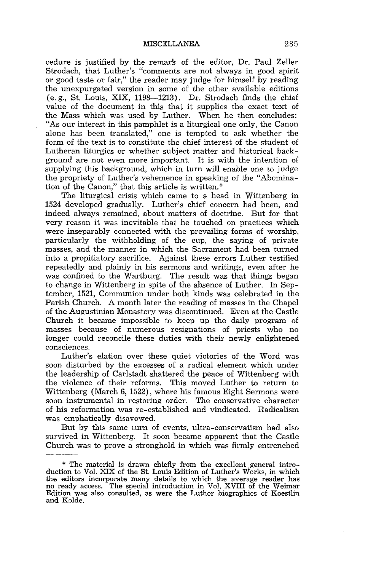cedure is justified by the remark of the editor, Dr. Paul Zeller Strodach, that Luther's "comments are not always in good spirit or good taste or fair," the reader may judge for himself by reading the unexpurgated version in some of the other available editions (e. g., St. Louis, XIX, 1198-1213). Dr. Strodach finds the chief value of the document in this that it supplies the exact text of the Mass which was used by Luther. When he then concludes: "As our interest in this pamphlet is a liturgical one only, the Canon alone has been translated," one is tempted to ask whether the form of the text is to constitute the chief interest of the student of Lutheran liturgics or whether subject matter and historical background are not even more important. It is with the intention of supplying this background, which in turn will enable one to judge the propriety of Luther's vehemence in speaking of the "Abomination of the Canon," that this article is written. \*

The liturgical crisis which came to a head in Wittenberg in 1524 developed gradually. Luther's chief concern had been, and indeed always remained, about matters of doctrine. But for that very reason it was inevitable that he touched on practices which were inseparably connected with the prevailing forms of worship, particularly the withholding of the cup, the saying of private masses, and the manner in which the Sacrament had been turned into a propitiatory sacrifice. Against these errors Luther testified repeatedly and plainly in his sermons and writings, even after he was confined to the Wartburg. The result was that things began to change in Wittenberg in spite of the absence of Luther. In September, 1521, Communion under both kinds was celebrated in the Parish Church. A month later the reading of masses in the Chapel of the Augustinian Monastery was discontinued. Even at the Castle Church it became impossible to keep up the daily program of masses because of numerous resignations of priests who no longer could reconcile these duties with their newly enlightened consciences.

Luther's elation over these quiet victories of the Word was soon disturbed by the excesses of a radical element which under the leadership of Carlstadt shattered the peace of Wittenberg with the violence of their reforms. This moved Luther to return to Wittenberg (March 6, 1522), where his famous Eight Sermons were soon instrumental in restoring order. The conservative character of his reformation was re-established and vindicated. Radicalism was emphatically disavowed.

But by this same turn of events, ultra-conservatism had also survived in Wittenberg. It soon became apparent that the Castle Church was to prove a stronghold in which was firmly entrenched

<sup>\*</sup> The material is drawn chiefly from the excellent general introduction to Vol. XIX of the St. Louis Edition of Luther's Works, in which the editors incorporate many details to which the average reader has no ready access. The special introduction in Vol. XVIII of the Weimar Edition was also consulted, as were the Luther biographies of Koestlin and Kolde.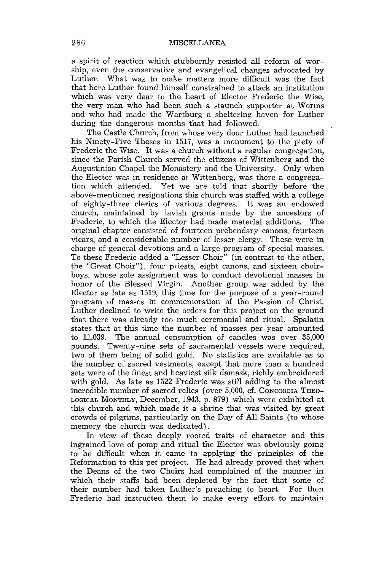a spirit of reaction which stubbornly resisted all reform of worship, even the conservative and evangelical changes advocated by Luther. What was to make matters more difficult was the fact that here Luther found himself constrained to attack an institution which was very dear to the heart of Elector Frederic the Wise, the very man who had been such a staunch supporter at Worms and who had made the Wartburg a sheltering haven for Luther during the dangerous months that had followed.

The Castle Church, from whose very door Luther had launched his Ninety-Five Theses in 1517, was a monument to the piety of Frederic the Wise. It was a church without a regular congregation, since the Parish Church served the citizens of Wittenberg and the Augustinian Chapel the Monastery and the University. Only when the Elector was in residence at Wittenberg, was there a congrega-Yet we are told that shortly before the above-mentioned resignations this church was staffed with a college of eighty-three clerics of various degrees. It was an endowed church, maintained by lavish grants made by the ancestors of Frederic, to which the Elector had made material additions. The original chapter consisted of fourteen prebendary canons, fourteen vicars, and a considerable number of lesser clergy. These were in charge of general devotions and a large program of special masses. To these Frederic added a "Lesser Choir" (in contrast to the other, the "Great Choir"), four priests, eight canons, and sixteen choirboys, whose sole assignment was to conduct devotional masses in honor of the Blessed Virgin. Another group was added by the Elector as late as 1519, this time for the purpose of a year-round program of masses in commemoration of the Passion of Christ. Luther declined to write the orders for this project on the ground that there was already too much ceremonial and ritual. Spalatin states that at this time the number of masses per year amounted<br>to 11.039. The annual consumption of candles was over 35.000 The annual consumption of candles was over 35,000 pounds. Twenty-nine sets of sacramental vessels were required, two of them being of solid gold. No statistics are available as to the number of sacred vestments, except that more than a hundred sets were of the finest and heaviest silk damask, richly embroidered with gold. As late as 1522 Frederic was still adding to the almost incredible number of sacred relics (over 5,000, d. CONCORDIA THEO-LOGICAL MONTHLY, December, 1943, p. 879) which were exhibited at this church and which made it a shrine that was visited by great crowds of pilgrims, particularly on the Day of All Saints (to whose memory the church was dedicated).

In view of these deeply rooted traits of character and this ingrained love of pomp and ritual the Elector was obviously going to be difficult when it came to applying the principles of the Reformation to this pet project. He had already proved that when the Deans of the two Choirs had complained of the manner in which their staffs had been depleted by the fact that some of their number had taken Luther's preaching to heart. For then Frederic had instructed them to make every effort to maintain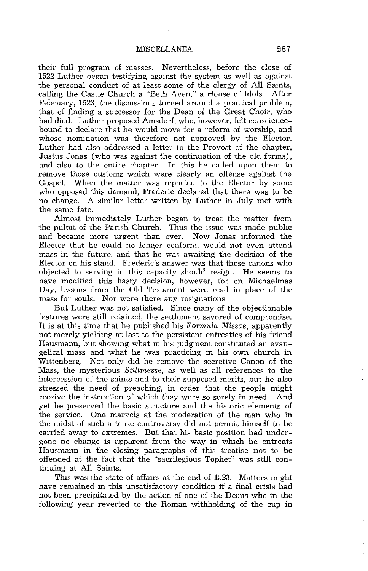### MISCELLANEA 287

their full program of masses. Nevertheless, before the close of 1522 Luther began testifying against the system as well as against the personal conduct of at least some of the clergy of All Saints, calling the Castle Church a "Beth Aven," a House of Idols. After February, 1523, the discussions turned around a practical problem, that of finding a successor for the Dean of the Great Choir, who had died. Luther proposed Amsdorf, who, however, felt consciencebound to declare that he would move for a reform of worship, and whose nomination was therefore not approved by the Elector. Luther had also addressed a letter to the Provost of the chapter, Justus Jonas (who was against the continuation of the old forms), and also to the entire chapter. In this he called upon them to remove those customs which were clearly an offense against the Gospel. When the matter was reported to the Elector by some who opposed this demand, Frederic declared that there was to be no change. A similar letter written by Luther in July met with the same fate.

Almost immediately Luther began to treat the matter from the pulpit of the Parish Church. Thus the issue was made public and became more urgent than ever. Now Jonas informed the Elector that he could no longer conform, would not even attend mass in the future, and that he was awaiting the decision of the Elector on his stand. Frederic's answer was that those canons who objected to serving in this capacity should resign. He seems to have modified this hasty decision, however, for on Michaelmas Day, lessons from the Old Testament were read in place of the mass for souls. Nor were there any resignations.

But Luther was not satisfied. Since many of the objectionable features were still retained, the settlement savored of compromise. It is at this time that he published his *Formula Missae*, apparently not merely yielding at last to the persistent entreaties of his friend Hausmann, but showing what in his judgment constituted an evangelical mass and what he was practicing in his own church in Wittenberg. Not only did he remove the secretive Canon of the Mass, the mysterious *Stillmesse,* as well as all references to the intercession of the saints and to their supposed merits, but he also stressed the need of preaching, in order that the people might receive the instruction of which they were so sorely in need. And yet he preserved the basic structure and the historic elements of the service. One marvels at the moderation of the man who in the midst of such a tense controversy did not permit himself to be carried away to extremes. But that his basic position had undergone no change is apparent from the way in which he entreats Hausmann in the closing paragraphs of this treatise not to be offended at the fact that the "sacrilegious Tophet" was still continuing at All Saints.

This was the state of affairs at the end of 1523. Matters might have remained in this unsatisfactory condition if a final crisis had not been precipitated by the action of one of the Deans who in the following year reverted to the Roman withholding of the cup in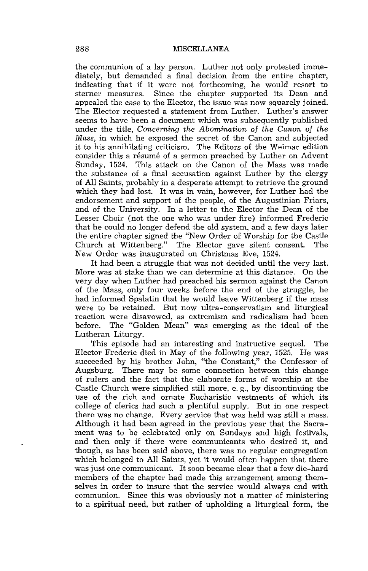the communion of a lay person. Luther not only protested immediately, but demanded a final decision from the entire chapter, indicating that if it were not forthcoming, he would resort to Since the chapter supported its Dean and appealed the case to the Elector, the issue was now squarely joined. The Elector requested a statement from Luther. Luther's answer seems to have been a document which was subsequently published under the title, *Concerning the Abomination* of *the Canon* of *the Mass,* in which he exposed the secret of the Canon and subjected it to his annihilating criticism. The Editors of the Weimar edition consider this a résumé of a sermon preached by Luther on Advent Sunday, 1524. This attack on the Canon of the Mass was made the substance of a final accusation against Luther by the clergy of All Saints, probably in a desperate attempt to retrieve the ground which they had lost. It was in vain, however, for Luther had the endorsement and support of the people, of the Augustinian Friars, and of the University. In a letter to the Elector the Dean of the Lesser Choir (not the one who was under fire) informed Frederic that he could no longer defend the old system, and a few days later the entire chapter signed the "New Order of Worship for the Castle Church at Wittenberg." The Elector gave silent consent. The New Order was inaugurated on Christmas Eve, 1524.

It had been a struggle that was not decided until the very last. More was at stake than we can determine at this distance. On the very day when Luther had preached his sermon against the Canon of the Mass, only four weeks before the end of the struggle, he had informed Spalatin that he would leave Wittenberg if the mass were to be retained. But now ultra-conservatism and liturgical reaction were disavowed, as extremism and radicalism had been The "Golden Mean" was emerging as the ideal of the Lutheran Liturgy.

This episode had an interesting and instructive sequel. The Elector Frederic died in May of the following year, 1525. He was succeeded by his brother John, "the Constant," the Confessor of Augsburg. There may be some connection between this change There may be some connection between this change of rulers and the fact that the elaborate forms of worship at the Castle Church were simplified still more, e. g., by discontinuing the use of the rich and ornate Eucharistic vestments of which its college of clerics had such a plentiful supply. But in one respect there was no change. Every service that was held was still a mass. Although it had been agreed in the previous year that the Sacrament was to be celebrated only on Sundays and high festivals, and then only if there were communicants who desired it, and though, as has been said above, there was no regular congregation which belonged to All Saints, yet it would often happen that there was just one communicant. It soon became clear that a few die-hard members of the chapter had made this arrangement among themselves in order to insure that the service would always end with communion. Since this was obviously not a matter of ministering to a spiritual need, but rather of upholding a liturgical form, the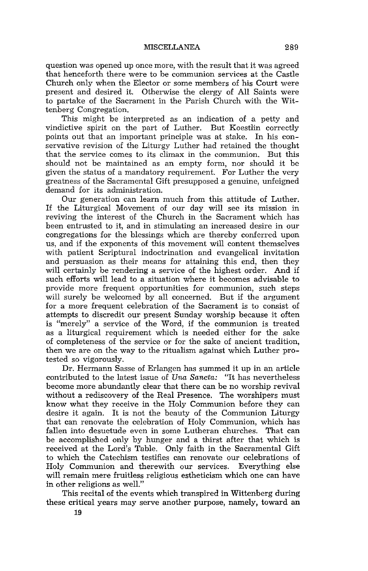question was opened up once more, with the result that it was agreed that henceforth there were to be communion services at the Castle Church only when the Elector or some members of his Court were present and desired it. Otherwise the clergy of All Saints were to partake of the Sacrament in the Parish Church with the Wittenberg Congregation.

This might be interpreted as an indication of a petty and vindictive spirit on the part of Luther. But Koestlin correctly points out that an important principle was at stake. In his conservative revision of the Liturgy Luther had retained the thought that the service comes to its climax in the communion. But this should not be maintained as an empty form, nor should it be given the status of a mandatory requirement. For Luther the very greatness of the Sacramental Gift presupposed a genuine, unfeigned demand for its administration.

Our generation can learn much from this attitude of Luther. If the Liturgical Movement of our day will see its mission in reviving the interest of the Church in the Sacrament which has been entrusted to it, and in stimulating an increased desire in our congregations for the blessings which are thereby conferred upon us, and if the exponents of this movement will content themselves with patient Scriptural indoctrination and evangelical invitation and persuasion as their means for attaining this end, then they will certainly be rendering a service of the highest order. And if such efforts will lead to a situation where it becomes advisable to provide more frequent opportunities for communion, such steps will surely be welcomed by all concerned. But if the argument for a more frequent celebration of the Sacrament is to consist of attempts to discredit our present Sunday worship because it often is "merely" a service of the Word, if the communion is treated as a liturgical requirement which is needed either for the sake of completeness of the service or for the sake of ancient tradition, then we are on the way to the ritualism against which Luther protested so vigorously.

Dr. Hermann Sasse of Erlangen has summed it up in an article contributed to the latest issue of *Una Sancta:* "It has nevertheless become more abundantly clear that there can be no worship revival without a rediscovery of the Real Presence. The worshipers must know what they receive in the Holy Communion before they can desire it again. It is not the beauty of the Communion Liturgy that can renovate the celebration of Holy Communion, which has fallen into desuetude even in some Lutheran churches. That can be accomplished only by hunger and a thirst after that which is received at the Lord's Table. Only faith in the Sacramental Gift to which the Catechism testifies can renovate our celebrations of Holy Communion and therewith our services. Everything else will remain mere fruitless religious estheticism which one can have in other religions as well."

This recital of the events which transpired in Wittenberg during these critical years may serve another purpose, namely, toward an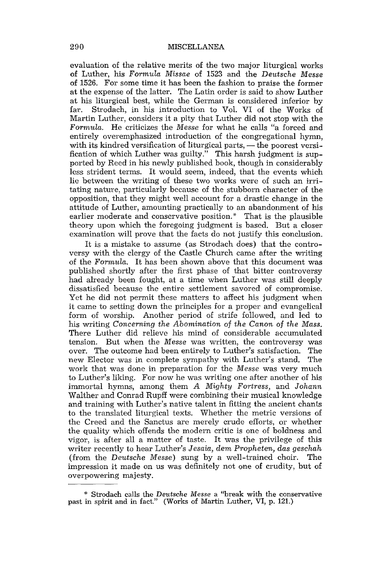evaluation of the relative merits of the two major liturgical works of Luther, his *Formula Missae* of 1523 and the *Deutsche Messe*  of 1526. For some time it has been the fashion to praise the former at the expense of the latter. The Latin order is said to show Luther at his liturgical best, while the German is considered inferior by far. Strodach, in his introduction to Vol. VI of the Works of Martin Luther, considers it a pity that Luther did not stop with the *Formula.* He criticizes the *Messe* for what he calls "a forced and entirely overemphasized introduction of the congregational hymn, with its kindred versification of liturgical parts,  $-$  the poorest versification of which Luther was guilty." This harsh judgment is supported by Reed in his newly published book, though in considerably less strident terms. It would seem, indeed, that the events which lie between the writing of these two works were of such an irritating nature, particularly because of the stubborn character of the opposition, that they might well account for a drastic change in the attitude of Luther, amounting practically to an abandonment of his earlier moderate and conservative position.\* That is the plausible theory upon which the foregoing judgment is based. But a closer examination will prove that the facts do not justify this conclusion.

It is a mistake to assume (as Strodach does) that the controversy with the clergy of the Castle Church came after the writing of the *Formula.* It has been shown above that this document was published shortly after the first phase of that bitter controversy had already been fought, at a time when Luther was still deeply dissatisfied because the entire settlement savored of compromise. Yet he did not permit these matters to affect his judgment when it came to setting down the principles for a proper and evangelical form of worship. Another period of strife followed, and led to his writing *Concerning the Abomination* of *the Canon* of *the Mass.*  There Luther did relieve his mind of considerable accumulated tension. But when the *Messe* was written, the controversy was over. The outcome had been entirely to Luther's satisfaction. The new Elector was in complete sympathy with Luther's stand. The work that was done in preparation for the *Messe* was very much to Luther's liking. For now he was writing one after another of his immortal hymns, among them *A Mighty Fortress,* and *Johann*  Walther and Conrad Rupff were combining their musical knowledge and training with Luther's native talent in fitting the ancient chants to the translated liturgical texts. Whether the metric versions of the Creed and the Sanctus are merely crude efforts, or whether the quality which offends the modern critic is one of boldness and vigor, is after all a matter of taste. It was the privilege of this writer recently to hear Luther's Jesaia, dem Propheten, das geschah (from the *Deutsche Messe)* sung by a well-trained choir. The impression it made on us was definitely not one of crudity, but of overpowering majesty.

<sup>\*</sup> Strodach calls the *Deutsche Messe* a "break with the conservative past in spirit and in fact." (Works of Martin Luther, VI, p. 121.)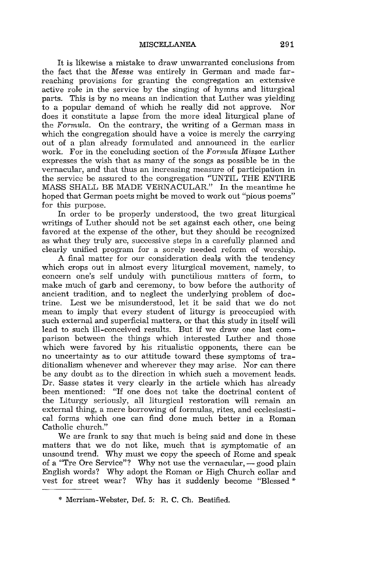It is likewise a mistake to draw unwarranted conclusions from the fact that the *Messe* was entirely in German and made farreaching provisions for granting the congregation an extensive active role in the service by the singing of hymns and liturgical parts. This is by no means an indication that Luther was yielding to a popular demand of which he really did not approve. Nor does it constitute a lapse from the more ideal liturgical plane of the *Formula.* On the contrary, the writing of a German mass in which the congregation should have a voice is merely the carrying out of a plan already formulated and announced in the earlier work. For in the concluding section of the *Formula Missae* Luther expresses the wish that as many of the songs as possible be in the vernacular, and that thus an increasing measure of participation in the service be assured to the congregation "UNTIL THE ENTIRE MASS SHALL BE MADE VERNACULAR." In the meantime he hoped that German poets might be moved to work out "pious poems" for this purpose.

In order to be properly understood, the two great liturgical writings of Luther should not be set against each other, one being favored at the expense of the other, but they should be recognized as what they truly are, successive steps in a carefully planned and clearly unified program for a sorely needed reform of worship.

A final matter for our consideration deals with the tendency which crops out in almost every liturgical movement, namely, to concern one's self unduly with punctilious matters of form, to make much of garb and ceremony, to bow before the authority of ancient tradition, and to neglect the underlying problem of doctrine. Lest we be misunderstood, let it be said that we do not mean to imply that every student of liturgy is preoccupied with such external and superficial matters, or that this study in itself will lead to such ill-conceived results. But if we draw one last comparison between the things which interested Luther and those which were favored by his ritualistic opponents, there can be no uncertainty as to our attitude toward these symptoms of traditionalism whenever and wherever they may arise. Nor can there be any doubt as to the direction in which such a movement leads. Dr. Sasse states it very clearly in the article which has already been mentioned: "If one does not take the doctrinal content of the Liturgy seriously, all liturgical restoration will remain an external thing, a mere borrowing of formulas, rites, and ecclesiastical forms which one can find done much better in a Roman Catholic church."

We are frank to say that much is being said and done in these matters that we do not like, much that is symptomatic of an unsound trend. Why must we copy the speech of Rome and speak of a "Tre Ore Service"? Why not use the vernacular,  $-$  good plain English words? Why adopt the Roman or High Church collar and vest for street wear? Why has it suddenly become "Blessed \*

<sup>\*</sup> Merriam-Webster, Def. 5: R. C. Ch. Beatified.